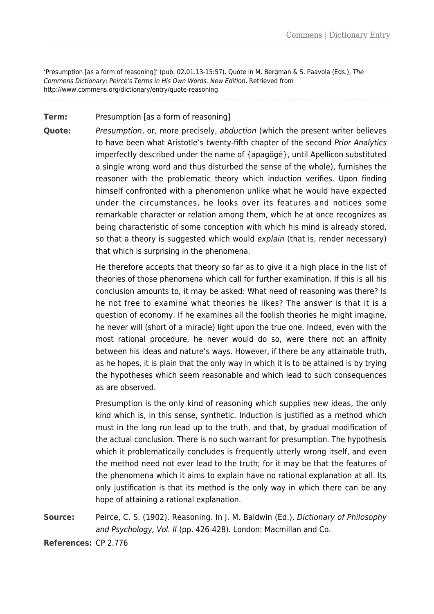'Presumption [as a form of reasoning]' (pub. 02.01.13-15:57). Quote in M. Bergman & S. Paavola (Eds.), The Commens Dictionary: Peirce's Terms in His Own Words. New Edition. Retrieved from http://www.commens.org/dictionary/entry/quote-reasoning.

## **Term:** Presumption [as a form of reasoning]

**Quote:** Presumption, or, more precisely, abduction (which the present writer believes to have been what Aristotle's twenty-fifth chapter of the second Prior Analytics imperfectly described under the name of {apagögé}, until Apellicon substituted a single wrong word and thus disturbed the sense of the whole), furnishes the reasoner with the problematic theory which induction verifies. Upon finding himself confronted with a phenomenon unlike what he would have expected under the circumstances, he looks over its features and notices some remarkable character or relation among them, which he at once recognizes as being characteristic of some conception with which his mind is already stored, so that a theory is suggested which would explain (that is, render necessary) that which is surprising in the phenomena.

> He therefore accepts that theory so far as to give it a high place in the list of theories of those phenomena which call for further examination. If this is all his conclusion amounts to, it may be asked: What need of reasoning was there? Is he not free to examine what theories he likes? The answer is that it is a question of economy. If he examines all the foolish theories he might imagine, he never will (short of a miracle) light upon the true one. Indeed, even with the most rational procedure, he never would do so, were there not an affinity between his ideas and nature's ways. However, if there be any attainable truth, as he hopes, it is plain that the only way in which it is to be attained is by trying the hypotheses which seem reasonable and which lead to such consequences as are observed.

> Presumption is the only kind of reasoning which supplies new ideas, the only kind which is, in this sense, synthetic. Induction is justified as a method which must in the long run lead up to the truth, and that, by gradual modification of the actual conclusion. There is no such warrant for presumption. The hypothesis which it problematically concludes is frequently utterly wrong itself, and even the method need not ever lead to the truth; for it may be that the features of the phenomena which it aims to explain have no rational explanation at all. Its only justification is that its method is the only way in which there can be any hope of attaining a rational explanation.

**Source:** Peirce, C. S. (1902). Reasoning. In J. M. Baldwin (Ed.), Dictionary of Philosophy and Psychology, Vol. II (pp. 426-428). London: Macmillan and Co.

**References:** CP 2.776